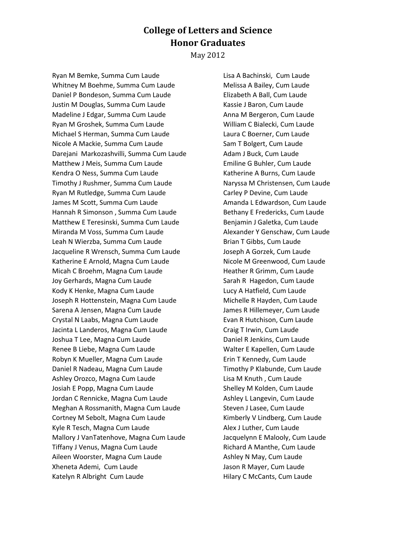## **College of Letters and Science Honor Graduates**

May 2012

Ryan M Bemke, Summa Cum Laude Whitney M Boehme, Summa Cum Laude Daniel P Bondeson, Summa Cum Laude Justin M Douglas, Summa Cum Laude Madeline J Edgar, Summa Cum Laude Ryan M Groshek, Summa Cum Laude Michael S Herman, Summa Cum Laude Nicole A Mackie, Summa Cum Laude Darejani Markozashvilli, Summa Cum Laude Matthew J Meis, Summa Cum Laude Kendra O Ness, Summa Cum Laude Timothy J Rushmer, Summa Cum Laude Ryan M Rutledge, Summa Cum Laude James M Scott, Summa Cum Laude Hannah R Simonson , Summa Cum Laude Matthew E Teresinski, Summa Cum Laude Miranda M Voss, Summa Cum Laude Leah N Wierzba, Summa Cum Laude Jacqueline R Wrensch, Summa Cum Laude Katherine E Arnold, Magna Cum Laude Micah C Broehm, Magna Cum Laude Joy Gerhards, Magna Cum Laude Kody K Henke, Magna Cum Laude Joseph R Hottenstein, Magna Cum Laude Sarena A Jensen, Magna Cum Laude Crystal N Laabs, Magna Cum Laude Jacinta L Landeros, Magna Cum Laude Joshua T Lee, Magna Cum Laude Renee B Liebe, Magna Cum Laude Robyn K Mueller, Magna Cum Laude Daniel R Nadeau, Magna Cum Laude Ashley Orozco, Magna Cum Laude Josiah E Popp, Magna Cum Laude Jordan C Rennicke, Magna Cum Laude Meghan A Rossmanith, Magna Cum Laude Cortney M Sebolt, Magna Cum Laude Kyle R Tesch, Magna Cum Laude Mallory J VanTatenhove, Magna Cum Laude Tiffany J Venus, Magna Cum Laude Aileen Woorster, Magna Cum Laude Xheneta Ademi, Cum Laude Katelyn R Albright Cum Laude

Lisa A Bachinski, Cum Laude Melissa A Bailey, Cum Laude Elizabeth A Ball, Cum Laude Kassie J Baron, Cum Laude Anna M Bergeron, Cum Laude William C Bialecki, Cum Laude Laura C Boerner, Cum Laude Sam T Bolgert, Cum Laude Adam J Buck, Cum Laude Emiline G Buhler, Cum Laude Katherine A Burns, Cum Laude Naryssa M Christensen, Cum Laude Carley P Devine, Cum Laude Amanda L Edwardson, Cum Laude Bethany E Fredericks, Cum Laude Benjamin J Galetka, Cum Laude Alexander Y Genschaw, Cum Laude Brian T Gibbs, Cum Laude Joseph A Gorzek, Cum Laude Nicole M Greenwood, Cum Laude Heather R Grimm, Cum Laude Sarah R Hagedon, Cum Laude Lucy A Hatfield, Cum Laude Michelle R Hayden, Cum Laude James R Hillemeyer, Cum Laude Evan R Hutchison, Cum Laude Craig T Irwin, Cum Laude Daniel R Jenkins, Cum Laude Walter E Kapellen, Cum Laude Erin T Kennedy, Cum Laude Timothy P Klabunde, Cum Laude Lisa M Knuth , Cum Laude Shelley M Kolden, Cum Laude Ashley L Langevin, Cum Laude Steven J Lasee, Cum Laude Kimberly V Lindberg, Cum Laude Alex J Luther, Cum Laude Jacquelynn E Malooly, Cum Laude Richard A Manthe, Cum Laude Ashley N May, Cum Laude Jason R Mayer, Cum Laude Hilary C McCants, Cum Laude